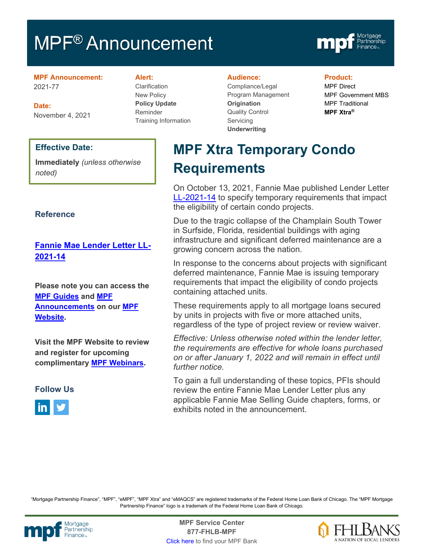# MPF<sup>®</sup> Announcement



**MPF Announcement:** 2021-77

**Date:** November 4, 2021

### **Effective Date:**

**Immediately** *(unless otherwise noted)*

### **Reference**

### **[Fannie Mae Lender Letter LL-](https://singlefamily.fanniemae.com/media/29411/display)[2021-14](https://singlefamily.fanniemae.com/media/29411/display)**

**Please note you can access the [MPF Guides](https://fhlbmpf.com/mpf-guides/guides) and [MPF](https://fhlbmpf.com/mpf-guides/announcements)  [Announcements](https://fhlbmpf.com/mpf-guides/announcements) on our [MPF](https://fhlbmpf.com/)  [Website.](https://fhlbmpf.com/)** 

**Visit the MPF Website to review and register for upcoming complimentary [MPF Webinars.](https://www.fhlbmpf.com/education/upcoming-webinars)**



#### **Alert:**

Clarification New Policy **Policy Update** Reminder Training Information

#### **Audience:**

Compliance/Legal Program Management **Origination**  Quality Control **Servicing Underwriting**

#### **Product:**

MPF Direct MPF Government MBS MPF Traditional **MPF Xtra®**

# **MPF Xtra Temporary Condo Requirements**

On October 13, 2021, Fannie Mae published Lender Letter [LL-2021-14](https://singlefamily.fanniemae.com/media/29411/display) to specify temporary requirements that impact the eligibility of certain condo projects.

Due to the tragic collapse of the Champlain South Tower in Surfside, Florida, residential buildings with aging infrastructure and significant deferred maintenance are a growing concern across the nation.

In response to the concerns about projects with significant deferred maintenance, Fannie Mae is issuing temporary requirements that impact the eligibility of condo projects containing attached units.

These requirements apply to all mortgage loans secured by units in projects with five or more attached units, regardless of the type of project review or review waiver.

*Effective: Unless otherwise noted within the lender letter, the requirements are effective for whole loans purchased on or after January 1, 2022 and will remain in effect until further notice.*

To gain a full understanding of these topics, PFIs should review the entire Fannie Mae Lender Letter plus any applicable Fannie Mae Selling Guide chapters, forms, or exhibits noted in the announcement.

"Mortgage Partnership Finance", "MPF", "eMPF", "MPF Xtra" and "eMAQCS" are registered trademarks of the Federal Home Loan Bank of Chicago. The "MPF Mortgage Partnership Finance" logo is a trademark of the Federal Home Loan Bank of Chicago.



Mortgage **MPF Service Center**<br>Partnership **Canadian Contract Center**<br> **Partnership CALL STATELL B MDE 877-FHLB-MPF** [Click here](https://www.fhlbmpf.com/fhlbanks/fhlbanks) to find your MPF Bank

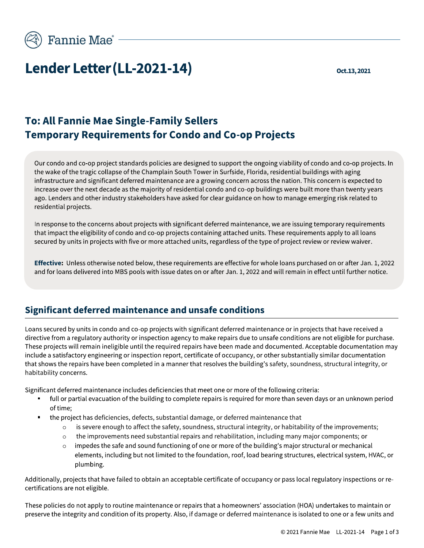

# Lender Letter (LL-2021-14)

Oct.13, 2021

# **To: All Fannie Mae Single-Family Sellers Temporary Requirements for Condo and Co-op Projects**

Our condo and co-op project standards policies are designed to support the ongoing viability of condo and co-op projects. In the wake of the tragic collapse of the Champlain South Tower in Surfside, Florida, residential buildings with aging infrastructure and significant deferred maintenance are a growing concern across the nation. This concern is expected to increase over the next decade as the majority of residential condo and co-op buildings were built more than twenty years ago. Lenders and other industry stakeholders have asked for clear guidance on how to manage emerging risk related to residential projects.

In response to the concerns about projects with significant deferred maintenance, we are issuing temporary requirements that impact the eligibility of condo and co-op projects containing attached units. These requirements apply to all loans secured by units in projects with five or more attached units, regardless of the type of project review or review waiver.

Effective: Unless otherwise noted below, these requirements are effective for whole loans purchased on or after Jan. 1, 2022 and for loans delivered into MBS pools with issue dates on or after Jan. 1, 2022 and will remain in effect until further notice.

# Significant deferred maintenance and unsafe conditions

Loans secured by units in condo and co-op projects with significant deferred maintenance or in projects that have received a directive from a regulatory authority or inspection agency to make repairs due to unsafe conditions are not eligible for purchase. These projects will remain ineligible until the required repairs have been made and documented. Acceptable documentation may include a satisfactory engineering or inspection report, certificate of occupancy, or other substantially similar documentation that shows the repairs have been completed in a manner that resolves the building's safety, soundness, structural integrity, or habitability concerns.

Significant deferred maintenance includes deficiencies that meet one or more of the following criteria:

- full or partial evacuation of the building to complete repairs is required for more than seven days or an unknown period of time;
- the project has deficiencies, defects, substantial damage, or deferred maintenance that  $\blacksquare$ 
	- is severe enough to affect the safety, soundness, structural integrity, or habitability of the improvements;  $\circ$
	- the improvements need substantial repairs and rehabilitation, including many major components; or
	- impedes the safe and sound functioning of one or more of the building's major structural or mechanical  $\circ$ elements, including but not limited to the foundation, roof, load bearing structures, electrical system, HVAC, or plumbing.

Additionally, projects that have failed to obtain an acceptable certificate of occupancy or pass local regulatory inspections or recertifications are not eligible.

These policies do not apply to routine maintenance or repairs that a homeowners' association (HOA) undertakes to maintain or preserve the integrity and condition of its property. Also, if damage or deferred maintenance is isolated to one or a few units and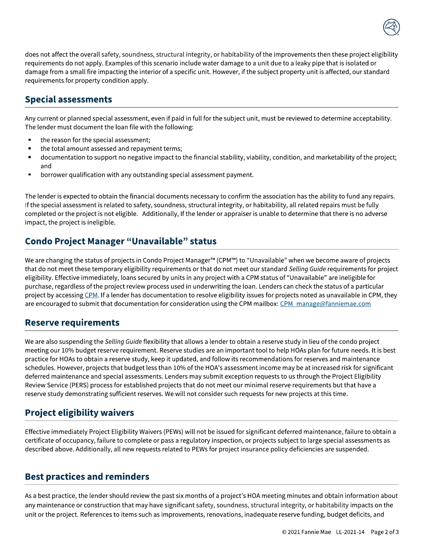

does not affect the overall safety, soundness, structural integrity, or habitability of the improvements then these project eligibility requirements do not apply. Examples of this scenario include water damage to a unit due to a leaky pipe that is isolated or damage from a small fire impacting the interior of a specific unit. However, if the subject property unit is affected, our standard requirements for property condition apply.

# **Special assessments**

Any current or planned special assessment, even if paid in full for the subject unit, must be reviewed to determine acceptability. The lender must document the loan file with the following:

- the reason for the special assessment;
- the total amount assessed and repayment terms;
- documentation to support no negative impact to the financial stability, viability, condition, and marketability of the project; and
- borrower qualification with any outstanding special assessment payment.

The lender is expected to obtain the financial documents necessary to confirm the association has the ability to fund any repairs. If the special assessment is related to safety, soundness, structural integrity, or habitability, all related repairs must be fully completed or the project is not eligible. Additionally, If the lender or appraiser is unable to determine that there is no adverse impact, the project is ineligible.

# **Condo Project Manager "Unavailable" status**

We are changing the status of projects in Condo Project Manager™ (CPM™) to "Unavailable" when we become aware of projects that do not meet these temporary eligibility requirements or that do not meet our standard Selling Guide requirements for project eligibility. Effective immediately, loans secured by units in any project with a CPM status of "Unavailable" are ineligible for purchase, regardless of the project review process used in underwriting the loan. Lenders can check the status of a particular project by accessing CPM. If a lender has documentation to resolve eligibility issues for projects noted as unavailable in CPM, they are encouraged to submit that documentation for consideration using the CPM mailbox: CPM manage@fanniemae.com

### **Reserve requirements**

We are also suspending the Selling Guide flexibility that allows a lender to obtain a reserve study in lieu of the condo project meeting our 10% budget reserve requirement. Reserve studies are an important tool to help HOAs plan for future needs. It is best practice for HOAs to obtain a reserve study, keep it updated, and follow its recommendations for reserves and maintenance schedules. However, projects that budget less than 10% of the HOA's assessment income may be at increased risk for significant deferred maintenance and special assessments. Lenders may submit exception requests to us through the Project Eligibility Review Service (PERS) process for established projects that do not meet our minimal reserve requirements but that have a reserve study demonstrating sufficient reserves. We will not consider such requests for new projects at this time.

# **Project eligibility waivers**

Effective immediately Project Eligibility Waivers (PEWs) will not be issued for significant deferred maintenance, failure to obtain a certificate of occupancy, failure to complete or pass a regulatory inspection, or projects subject to large special assessments as described above. Additionally, all new requests related to PEWs for project insurance policy deficiencies are suspended.

# **Best practices and reminders**

As a best practice, the lender should review the past six months of a project's HOA meeting minutes and obtain information about any maintenance or construction that may have significant safety, soundness, structural integrity, or habitability impacts on the unit or the project. References to items such as improvements, renovations, inadequate reserve funding, budget deficits, and